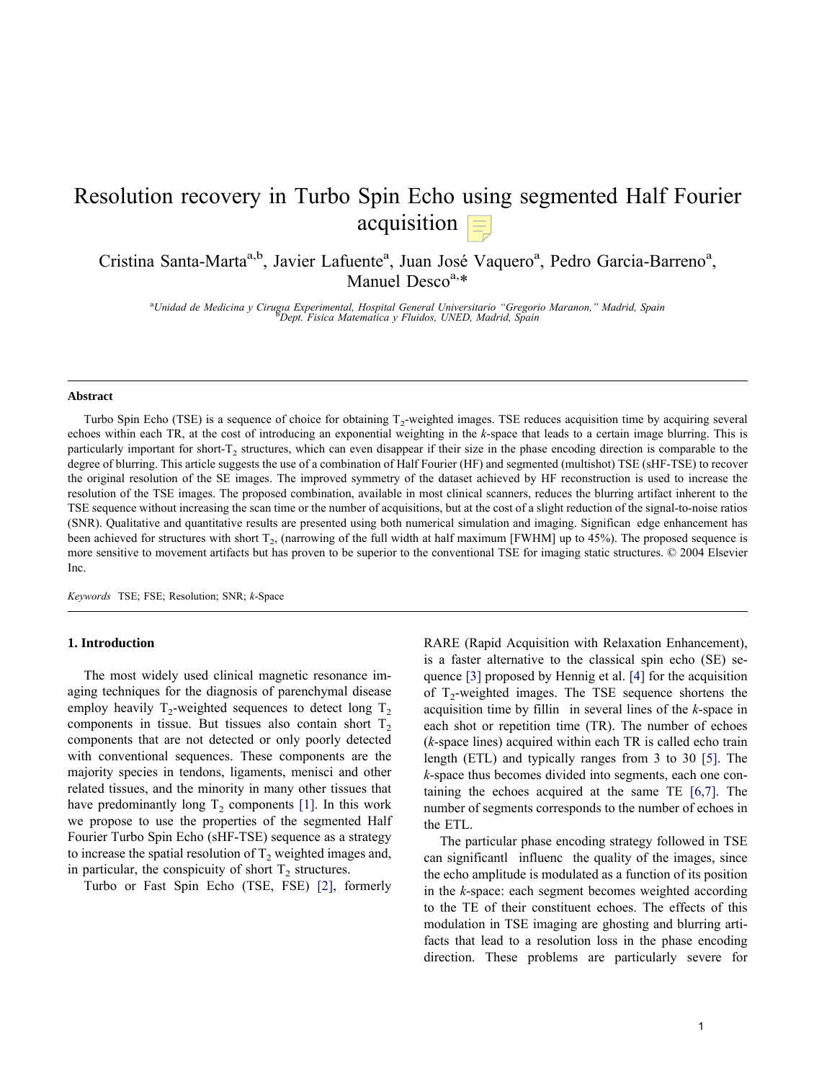# Resolution recovery in Turbo Spin Echo using segmented Half Fourier acquisition  $\equiv$

Cristina Santa-Marta<sup>a,b</sup>, Javier Lafuente<sup>a</sup>, Juan José Vaquero<sup>a</sup>, Pedro Garcia-Barreno<sup>a</sup>, Manuel Desco $a, *$ 

<sup>a</sup>Unidad de Medicina y Cirugia Experimental, Hospital General Universitario "Gregorio Maranon," Madrid, Spain<br><sup>8</sup>Dent Fisica Matematica y Eluidos UNED, Madrid, Spain *Dept. Fisica Matematica y Fluidos, UNED, Madrid, Spain*

#### **Abstract**

Turbo Spin Echo (TSE) is a sequence of choice for obtaining T<sub>2</sub>-weighted images. TSE reduces acquisition time by acquiring several echoes within each TR, at the cost of introducing an exponential weighting in the *k*-space that leads to a certain image blurring. This is particularly important for short-T<sub>2</sub> structures, which can even disappear if their size in the phase encoding direction is comparable to the degree of blurring. This article suggests the use of a combination of Half Fourier (HF) and segmented (multishot) TSE (sHF-TSE) to recover the original resolution of the SE images. The improved symmetry of the dataset achieved by HF reconstruction is used to increase the resolution of the TSE images. The proposed combination, available in most clinical scanners, reduces the blurring artifact inherent to the TSE sequence without increasing the scan time or the number of acquisitions, but at the cost of a slight reduction of the signal-to-noise ratios (SNR). Qualitative and quantitative results are presented using both numerical simulation and imaging. Significan edge enhancement has been achieved for structures with short  $T_2$ , (narrowing of the full width at half maximum [FWHM] up to 45%). The proposed sequence is more sensitive to movement artifacts but has proven to be superior to the conventional TSE for imaging static structures. © 2004 Elsevier Inc.

*Keywords* TSE; FSE; Resolution; SNR; *k*-Space

#### **1. Introduction**

The most widely used clinical magnetic resonance imaging techniques for the diagnosis of parenchymal disease employ heavily  $T_2$ -weighted sequences to detect long  $T_2$ components in tissue. But tissues also contain short  $T<sub>2</sub>$ components that are not detected or only poorly detected with conventional sequences. These components are the majority species in tendons, ligaments, menisci and other related tissues, and the minority in many other tissues that have predominantly long  $T_2$  components [1]. In this work we propose to use the properties of the segmented Half Fourier Turbo Spin Echo (sHF-TSE) sequence as a strategy to increase the spatial resolution of  $T_2$  weighted images and, in particular, the conspicuity of short  $T_2$  structures.

Turbo or Fast Spin Echo (TSE, FSE) [2], formerly

RARE (Rapid Acquisition with Relaxation Enhancement), is a faster alternative to the classical spin echo (SE) sequence [3] proposed by Hennig et al. [4] for the acquisition of  $T_2$ -weighted images. The TSE sequence shortens the acquisition time by fillin in several lines of the *k*-space in each shot or repetition time (TR). The number of echoes (*k*-space lines) acquired within each TR is called echo train length (ETL) and typically ranges from 3 to 30 [5]. The *k*-space thus becomes divided into segments, each one containing the echoes acquired at the same TE [6,7]. The number of segments corresponds to the number of echoes in the ETL.

The particular phase encoding strategy followed in TSE can significantl influenc the quality of the images, since the echo amplitude is modulated as a function of its position in the *k*-space: each segment becomes weighted according to the TE of their constituent echoes. The effects of this modulation in TSE imaging are ghosting and blurring artifacts that lead to a resolution loss in the phase encoding direction. These problems are particularly severe for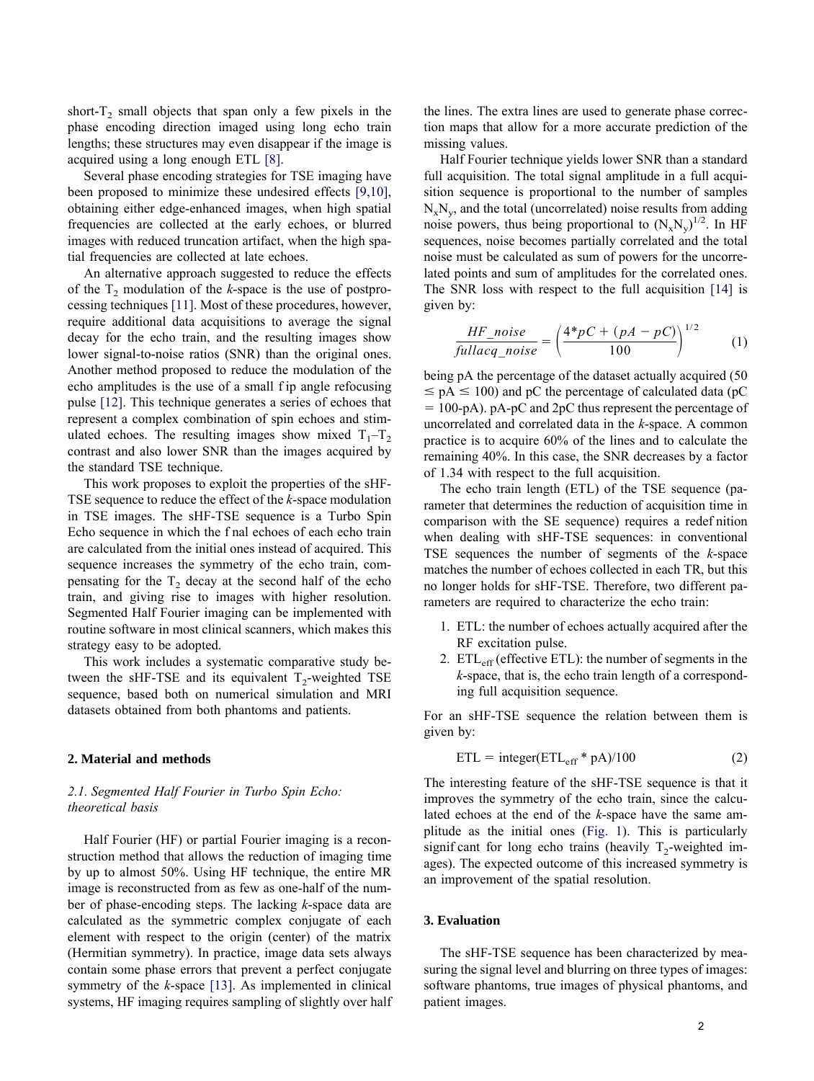short- $T_2$  small objects that span only a few pixels in the phase encoding direction imaged using long echo train lengths; these structures may even disappear if the image is acquired using a long enough ETL [8].

Several phase encoding strategies for TSE imaging have been proposed to minimize these undesired effects [9,10], obtaining either edge-enhanced images, when high spatial frequencies are collected at the early echoes, or blurred images with reduced truncation artifact, when the high spatial frequencies are collected at late echoes.

An alternative approach suggested to reduce the effects of the  $T_2$  modulation of the *k*-space is the use of postprocessing techniques [11]. Most of these procedures, however, require additional data acquisitions to average the signal decay for the echo train, and the resulting images show lower signal-to-noise ratios (SNR) than the original ones. Another method proposed to reduce the modulation of the echo amplitudes is the use of a small f ip angle refocusing pulse [12]. This technique generates a series of echoes that represent a complex combination of spin echoes and stimulated echoes. The resulting images show mixed  $T_1 - T_2$ contrast and also lower SNR than the images acquired by the standard TSE technique.

This work proposes to exploit the properties of the sHF-TSE sequence to reduce the effect of the *k*-space modulation in TSE images. The sHF-TSE sequence is a Turbo Spin Echo sequence in which the f nal echoes of each echo train are calculated from the initial ones instead of acquired. This sequence increases the symmetry of the echo train, compensating for the  $T<sub>2</sub>$  decay at the second half of the echo train, and giving rise to images with higher resolution. Segmented Half Fourier imaging can be implemented with routine software in most clinical scanners, which makes this strategy easy to be adopted.

This work includes a systematic comparative study between the sHF-TSE and its equivalent  $T<sub>2</sub>$ -weighted TSE sequence, based both on numerical simulation and MRI datasets obtained from both phantoms and patients.

# **2. Material and methods**

# *2.1. Segmented Half Fourier in Turbo Spin Echo: theoretical basis*

Half Fourier (HF) or partial Fourier imaging is a reconstruction method that allows the reduction of imaging time by up to almost 50%. Using HF technique, the entire MR image is reconstructed from as few as one-half of the number of phase-encoding steps. The lacking *k*-space data are calculated as the symmetric complex conjugate of each element with respect to the origin (center) of the matrix (Hermitian symmetry). In practice, image data sets always contain some phase errors that prevent a perfect conjugate symmetry of the *k*-space [13]. As implemented in clinical systems, HF imaging requires sampling of slightly over half

the lines. The extra lines are used to generate phase correction maps that allow for a more accurate prediction of the missing values.

Half Fourier technique yields lower SNR than a standard full acquisition. The total signal amplitude in a full acquisition sequence is proportional to the number of samples  $N_xN_y$ , and the total (uncorrelated) noise results from adding noise powers, thus being proportional to  $(N_xN_y)^{1/2}$ . In HF sequences, noise becomes partially correlated and the total noise must be calculated as sum of powers for the uncorrelated points and sum of amplitudes for the correlated ones. The SNR loss with respect to the full acquisition [14] is given by:

$$
\frac{HF\_noise}{fullacq\_noise} = \left(\frac{4*pC + (pA - pC)}{100}\right)^{1/2}
$$
 (1)

being pA the percentage of the dataset actually acquired (50  $\leq$  pA  $\leq$  100) and pC the percentage of calculated data (pC  $= 100$ -pA). pA-pC and 2pC thus represent the percentage of uncorrelated and correlated data in the *k*-space. A common practice is to acquire 60% of the lines and to calculate the remaining 40%. In this case, the SNR decreases by a factor of 1.34 with respect to the full acquisition.

The echo train length (ETL) of the TSE sequence (parameter that determines the reduction of acquisition time in comparison with the SE sequence) requires a redef nition when dealing with sHF-TSE sequences: in conventional TSE sequences the number of segments of the *k*-space matches the number of echoes collected in each TR, but this no longer holds for sHF-TSE. Therefore, two different parameters are required to characterize the echo train:

- 1. ETL: the number of echoes actually acquired after the RF excitation pulse.
- 2.  $ETL<sub>eff</sub>$  (effective ETL): the number of segments in the *k*-space, that is, the echo train length of a corresponding full acquisition sequence.

For an sHF-TSE sequence the relation between them is given by:

$$
ETL = integer(ETL_{eff} * pA)/100
$$
 (2)

The interesting feature of the sHF-TSE sequence is that it improves the symmetry of the echo train, since the calculated echoes at the end of the *k*-space have the same amplitude as the initial ones (Fig. 1). This is particularly signif cant for long echo trains (heavily  $T_2$ -weighted images). The expected outcome of this increased symmetry is an improvement of the spatial resolution.

# **3. Evaluation**

The sHF-TSE sequence has been characterized by measuring the signal level and blurring on three types of images: software phantoms, true images of physical phantoms, and patient images.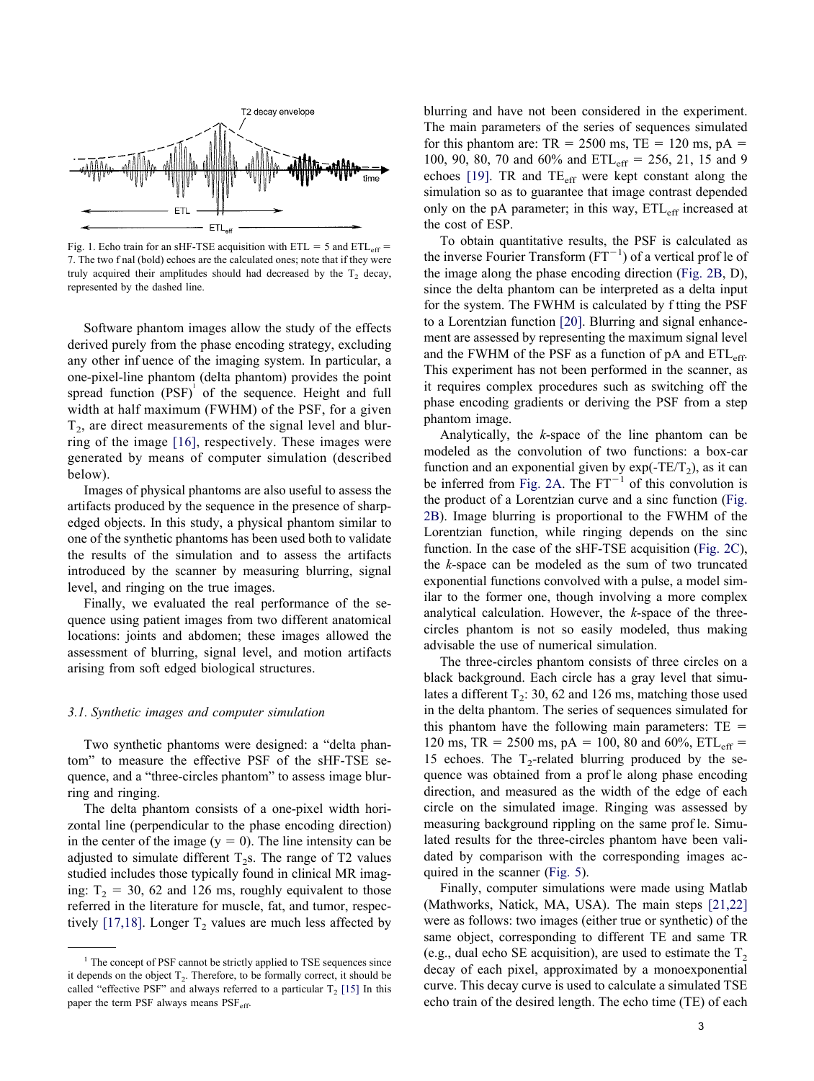

Fig. 1. Echo train for an sHF-TSE acquisition with  $ETL = 5$  and  $ETL_{eff} =$ 7. The two f nal (bold) echoes are the calculated ones; note that if they were truly acquired their amplitudes should had decreased by the  $T_2$  decay, represented by the dashed line.

Software phantom images allow the study of the effects derived purely from the phase encoding strategy, excluding any other inf uence of the imaging system. In particular, a one-pixel-line phantom (delta phantom) provides the point spread function  $(PSF)$  of the sequence. Height and full width at half maximum (FWHM) of the PSF, for a given  $T<sub>2</sub>$ , are direct measurements of the signal level and blurring of the image [16], respectively. These images were generated by means of computer simulation (described below).

Images of physical phantoms are also useful to assess the artifacts produced by the sequence in the presence of sharpedged objects. In this study, a physical phantom similar to one of the synthetic phantoms has been used both to validate the results of the simulation and to assess the artifacts introduced by the scanner by measuring blurring, signal level, and ringing on the true images.

Finally, we evaluated the real performance of the sequence using patient images from two different anatomical locations: joints and abdomen; these images allowed the assessment of blurring, signal level, and motion artifacts arising from soft edged biological structures.

#### *3.1. Synthetic images and computer simulation*

Two synthetic phantoms were designed: a "delta phantom" to measure the effective PSF of the sHF-TSE sequence, and a "three-circles phantom" to assess image blurring and ringing.

The delta phantom consists of a one-pixel width horizontal line (perpendicular to the phase encoding direction) in the center of the image  $(y = 0)$ . The line intensity can be adjusted to simulate different  $T_2$ s. The range of T2 values studied includes those typically found in clinical MR imaging:  $T_2 = 30, 62$  and 126 ms, roughly equivalent to those referred in the literature for muscle, fat, and tumor, respectively [17,18]. Longer  $T_2$  values are much less affected by blurring and have not been considered in the experiment. The main parameters of the series of sequences simulated for this phantom are:  $TR = 2500$  ms,  $TE = 120$  ms,  $pA =$ 100, 90, 80, 70 and 60% and  $ETL_{eff} = 256, 21, 15$  and 9 echoes  $[19]$ . TR and TE<sub>eff</sub> were kept constant along the simulation so as to guarantee that image contrast depended only on the pA parameter; in this way,  $ETL<sub>eff</sub>$  increased at the cost of ESP.

To obtain quantitative results, the PSF is calculated as the inverse Fourier Transform  $(FT^{-1})$  of a vertical prof le of the image along the phase encoding direction (Fig. 2B, D), since the delta phantom can be interpreted as a delta input for the system. The FWHM is calculated by f tting the PSF to a Lorentzian function [20]. Blurring and signal enhancement are assessed by representing the maximum signal level and the FWHM of the PSF as a function of  $pA$  and  $ETL_{eff}$ . This experiment has not been performed in the scanner, as it requires complex procedures such as switching off the phase encoding gradients or deriving the PSF from a step phantom image.

Analytically, the *k*-space of the line phantom can be modeled as the convolution of two functions: a box-car function and an exponential given by  $exp(-TE/T_2)$ , as it can be inferred from Fig. 2A. The  $FT^{-1}$  of this convolution is the product of a Lorentzian curve and a sinc function (Fig. 2B). Image blurring is proportional to the FWHM of the Lorentzian function, while ringing depends on the sinc function. In the case of the sHF-TSE acquisition (Fig. 2C), the *k*-space can be modeled as the sum of two truncated exponential functions convolved with a pulse, a model similar to the former one, though involving a more complex analytical calculation. However, the *k*-space of the threecircles phantom is not so easily modeled, thus making advisable the use of numerical simulation.

The three-circles phantom consists of three circles on a black background. Each circle has a gray level that simulates a different  $T_2$ : 30, 62 and 126 ms, matching those used in the delta phantom. The series of sequences simulated for this phantom have the following main parameters:  $TE =$ 120 ms, TR = 2500 ms, pA = 100, 80 and 60%,  $ETL_{eff}$  = 15 echoes. The  $T_2$ -related blurring produced by the sequence was obtained from a prof le along phase encoding direction, and measured as the width of the edge of each circle on the simulated image. Ringing was assessed by measuring background rippling on the same prof le. Simulated results for the three-circles phantom have been validated by comparison with the corresponding images acquired in the scanner (Fig. 5).

Finally, computer simulations were made using Matlab (Mathworks, Natick, MA, USA). The main steps [21,22] were as follows: two images (either true or synthetic) of the same object, corresponding to different TE and same TR (e.g., dual echo SE acquisition), are used to estimate the  $T_2$ decay of each pixel, approximated by a monoexponential curve. This decay curve is used to calculate a simulated TSE echo train of the desired length. The echo time (TE) of each

<sup>&</sup>lt;sup>1</sup> The concept of PSF cannot be strictly applied to TSE sequences since it depends on the object  $T<sub>2</sub>$ . Therefore, to be formally correct, it should be called "effective PSF" and always referred to a particular  $T_2$  [15] In this paper the term PSF always means PSF<sub>eff</sub>.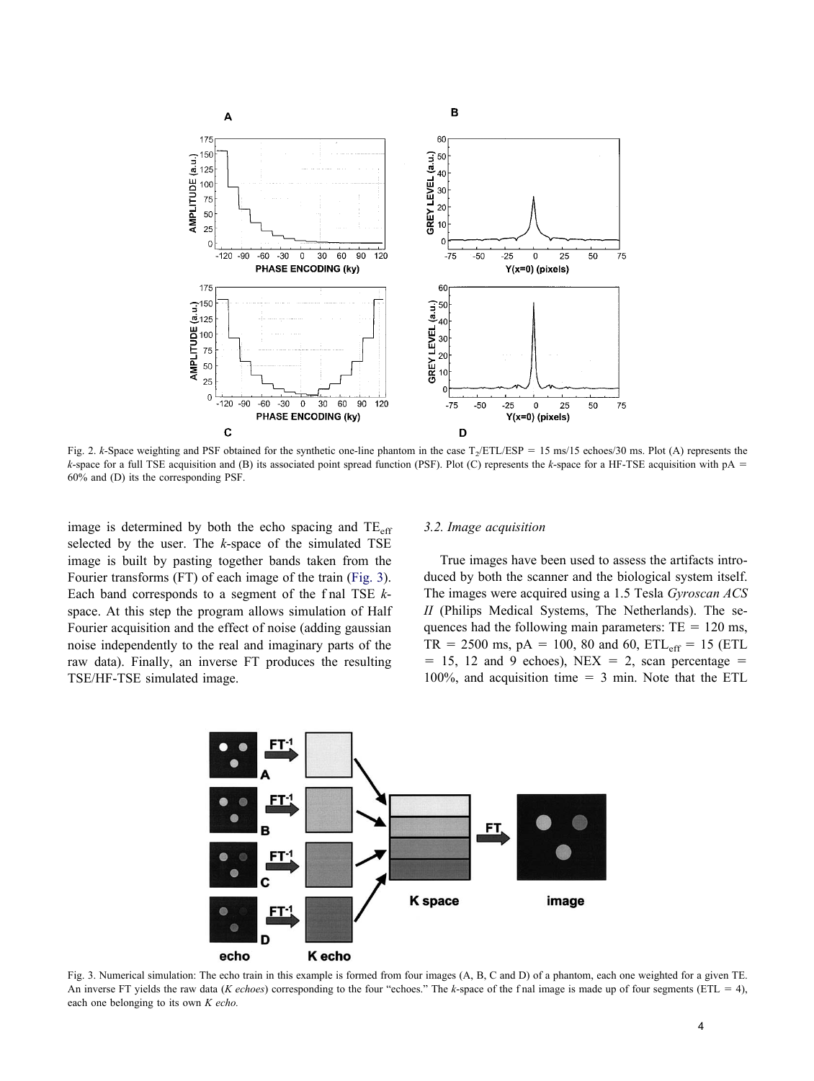

Fig. 2. *k*-Space weighting and PSF obtained for the synthetic one-line phantom in the case  $T_2$ /ETL/ESP = 15 ms/15 echoes/30 ms. Plot (A) represents the *k*-space for a full TSE acquisition and (B) its associated point spread function (PSF). Plot (C) represents the *k*-space for a HF-TSE acquisition with pA 60% and (D) its the corresponding PSF.

image is determined by both the echo spacing and TE<sub>eff</sub> selected by the user. The *k*-space of the simulated TSE image is built by pasting together bands taken from the Fourier transforms (FT) of each image of the train (Fig. 3). Each band corresponds to a segment of the f nal TSE *k*space. At this step the program allows simulation of Half Fourier acquisition and the effect of noise (adding gaussian noise independently to the real and imaginary parts of the raw data). Finally, an inverse FT produces the resulting TSE/HF-TSE simulated image.

#### *3.2. Image acquisition*

True images have been used to assess the artifacts introduced by both the scanner and the biological system itself. The images were acquired using a 1.5 Tesla *Gyroscan ACS II* (Philips Medical Systems, The Netherlands). The sequences had the following main parameters:  $TE = 120$  ms,  $TR = 2500$  ms, pA = 100, 80 and 60,  $ETL_{eff} = 15$  (ETL  $= 15, 12$  and 9 echoes), NEX  $= 2$ , scan percentage  $=$ 100%, and acquisition time  $=$  3 min. Note that the ETL



Fig. 3. Numerical simulation: The echo train in this example is formed from four images (A, B, C and D) of a phantom, each one weighted for a given TE. An inverse FT yields the raw data (*K echoes*) corresponding to the four "echoes." The *k*-space of the f nal image is made up of four segments (ETL = 4), each one belonging to its own *K echo.*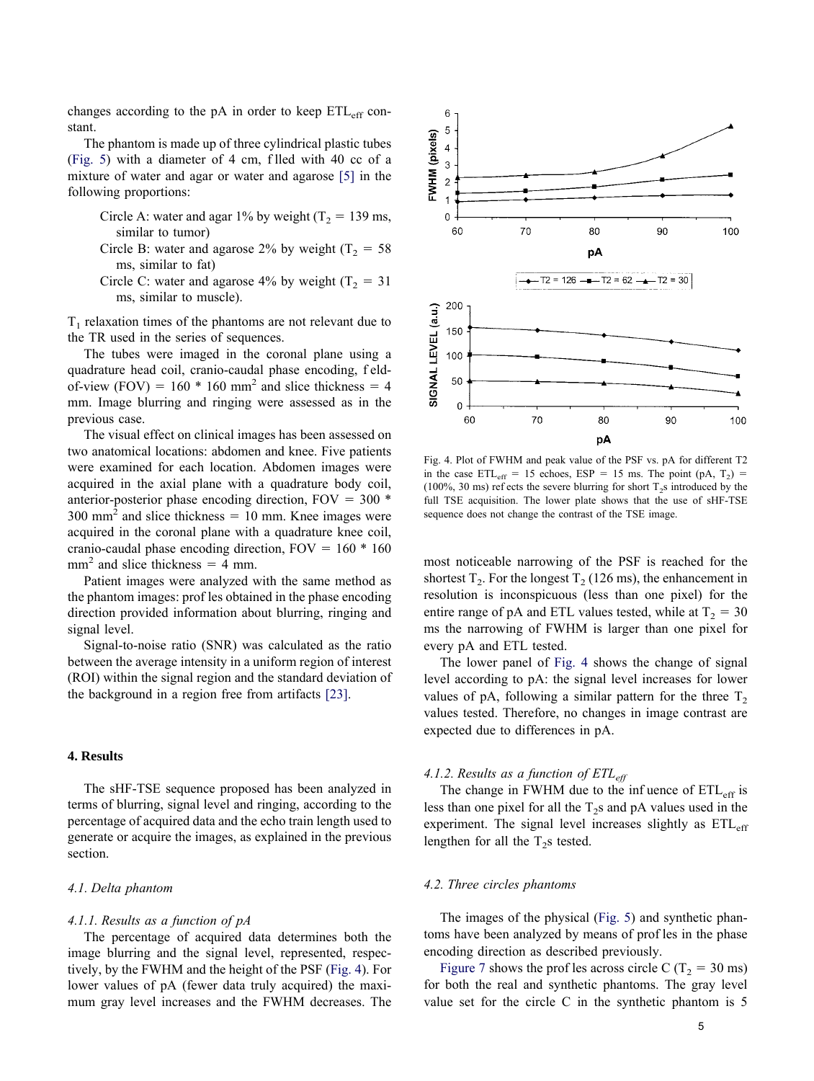changes according to the pA in order to keep  $ETL_{eff}$  constant.

The phantom is made up of three cylindrical plastic tubes (Fig. 5) with a diameter of 4 cm, f lled with 40 cc of a mixture of water and agar or water and agarose [5] in the following proportions:

Circle A: water and agar 1% by weight ( $T_2$  = 139 ms, similar to tumor)

- Circle B: water and agarose 2% by weight  $(T_2 = 58$ ms, similar to fat)
- Circle C: water and agarose 4% by weight ( $T_2 = 31$ ) ms, similar to muscle).

 $T_1$  relaxation times of the phantoms are not relevant due to the TR used in the series of sequences.

The tubes were imaged in the coronal plane using a quadrature head coil, cranio-caudal phase encoding, f eldof-view (FOV) =  $160 * 160$  mm<sup>2</sup> and slice thickness = 4 mm. Image blurring and ringing were assessed as in the previous case.

The visual effect on clinical images has been assessed on two anatomical locations: abdomen and knee. Five patients were examined for each location. Abdomen images were acquired in the axial plane with a quadrature body coil, anterior-posterior phase encoding direction,  $FOV = 300$  \*  $300 \text{ mm}^2$  and slice thickness = 10 mm. Knee images were acquired in the coronal plane with a quadrature knee coil, cranio-caudal phase encoding direction,  $FOV = 160 * 160$  $mm<sup>2</sup>$  and slice thickness = 4 mm.

Patient images were analyzed with the same method as the phantom images: prof les obtained in the phase encoding direction provided information about blurring, ringing and signal level.

Signal-to-noise ratio (SNR) was calculated as the ratio between the average intensity in a uniform region of interest (ROI) within the signal region and the standard deviation of the background in a region free from artifacts [23].

# **4. Results**

The sHF-TSE sequence proposed has been analyzed in terms of blurring, signal level and ringing, according to the percentage of acquired data and the echo train length used to generate or acquire the images, as explained in the previous section.

#### *4.1. Delta phantom*

# *4.1.1. Results as a function of pA*

The percentage of acquired data determines both the image blurring and the signal level, represented, respectively, by the FWHM and the height of the PSF (Fig. 4). For lower values of pA (fewer data truly acquired) the maximum gray level increases and the FWHM decreases. The



Fig. 4. Plot of FWHM and peak value of the PSF vs. pA for different T2 in the case  $ETL_{eff}$  = 15 echoes,  $ESP = 15$  ms. The point (pA, T<sub>2</sub>) = (100%, 30 ms) ref ects the severe blurring for short  $T_2$ s introduced by the full TSE acquisition. The lower plate shows that the use of sHF-TSE sequence does not change the contrast of the TSE image.

most noticeable narrowing of the PSF is reached for the shortest  $T_2$ . For the longest  $T_2$  (126 ms), the enhancement in resolution is inconspicuous (less than one pixel) for the entire range of pA and ETL values tested, while at  $T_2 = 30$ ms the narrowing of FWHM is larger than one pixel for every pA and ETL tested.

The lower panel of Fig. 4 shows the change of signal level according to pA: the signal level increases for lower values of pA, following a similar pattern for the three  $T_2$ values tested. Therefore, no changes in image contrast are expected due to differences in pA.

## *4.1.2. Results as a function of ETLeff*

The change in FWHM due to the infuence of  $ETL_{eff}$  is less than one pixel for all the  $T_2$ s and pA values used in the experiment. The signal level increases slightly as  $ETL_{eff}$ lengthen for all the  $T_2$ s tested.

#### *4.2. Three circles phantoms*

The images of the physical (Fig. 5) and synthetic phantoms have been analyzed by means of prof les in the phase encoding direction as described previously.

Figure 7 shows the prof les across circle C ( $T_2$  = 30 ms) for both the real and synthetic phantoms. The gray level value set for the circle C in the synthetic phantom is 5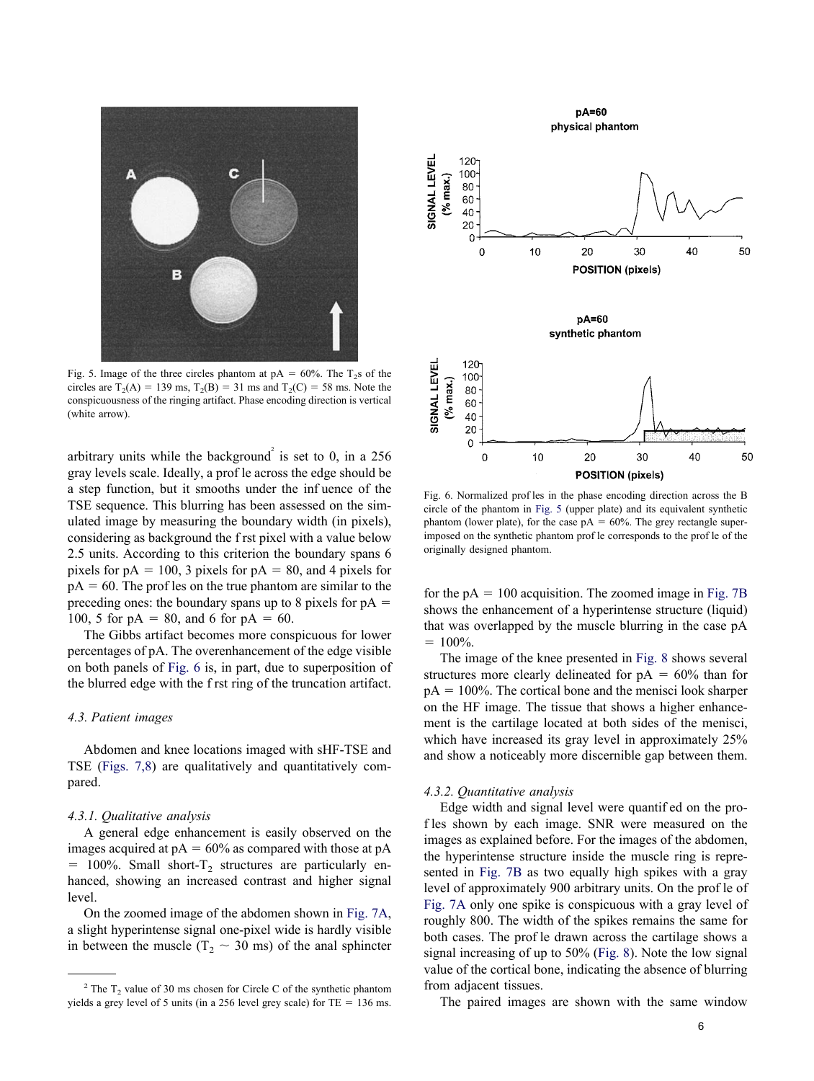

Fig. 5. Image of the three circles phantom at  $pA = 60\%$ . The T<sub>2</sub>s of the circles are  $T_2(A) = 139 \text{ ms}, T_2(B) = 31 \text{ ms}$  and  $T_2(C) = 58 \text{ ms}$ . Note the conspicuousness of the ringing artifact. Phase encoding direction is vertical (white arrow).

arbitrary units while the background<sup>2</sup> is set to 0, in a 256 gray levels scale. Ideally, a prof le across the edge should be a step function, but it smooths under the inf uence of the TSE sequence. This blurring has been assessed on the simulated image by measuring the boundary width (in pixels), considering as background the f rst pixel with a value below 2.5 units. According to this criterion the boundary spans 6 pixels for  $pA = 100$ , 3 pixels for  $pA = 80$ , and 4 pixels for  $pA = 60$ . The prof les on the true phantom are similar to the preceding ones: the boundary spans up to 8 pixels for  $pA =$ 100, 5 for  $pA = 80$ , and 6 for  $pA = 60$ .

The Gibbs artifact becomes more conspicuous for lower percentages of pA. The overenhancement of the edge visible on both panels of Fig. 6 is, in part, due to superposition of the blurred edge with the f rst ring of the truncation artifact.

# *4.3. Patient images*

Abdomen and knee locations imaged with sHF-TSE and TSE (Figs. 7,8) are qualitatively and quantitatively compared.

#### *4.3.1. Qualitative analysis*

A general edge enhancement is easily observed on the images acquired at  $pA = 60\%$  as compared with those at  $pA$  $= 100\%$ . Small short-T<sub>2</sub> structures are particularly enhanced, showing an increased contrast and higher signal level.

On the zoomed image of the abdomen shown in Fig. 7A, a slight hyperintense signal one-pixel wide is hardly visible in between the muscle ( $T_2 \sim 30$  ms) of the anal sphincter



Fig. 6. Normalized prof les in the phase encoding direction across the B circle of the phantom in Fig. 5 (upper plate) and its equivalent synthetic phantom (lower plate), for the case  $pA = 60\%$ . The grey rectangle superimposed on the synthetic phantom prof le corresponds to the prof le of the originally designed phantom.

for the  $pA = 100$  acquisition. The zoomed image in Fig. 7B shows the enhancement of a hyperintense structure (liquid) that was overlapped by the muscle blurring in the case pA  $= 100\%$ .

The image of the knee presented in Fig. 8 shows several structures more clearly delineated for  $pA = 60\%$  than for  $pA = 100\%$ . The cortical bone and the menisci look sharper on the HF image. The tissue that shows a higher enhancement is the cartilage located at both sides of the menisci, which have increased its gray level in approximately 25% and show a noticeably more discernible gap between them.

# *4.3.2. Quantitative analysis*

Edge width and signal level were quantif ed on the prof les shown by each image. SNR were measured on the images as explained before. For the images of the abdomen, the hyperintense structure inside the muscle ring is represented in Fig. 7B as two equally high spikes with a gray level of approximately 900 arbitrary units. On the prof le of Fig. 7A only one spike is conspicuous with a gray level of roughly 800. The width of the spikes remains the same for both cases. The prof le drawn across the cartilage shows a signal increasing of up to 50% (Fig. 8). Note the low signal value of the cortical bone, indicating the absence of blurring from adjacent tissues.

The paired images are shown with the same window

 $2$  The T<sub>2</sub> value of 30 ms chosen for Circle C of the synthetic phantom yields a grey level of 5 units (in a 256 level grey scale) for  $TE = 136$  ms.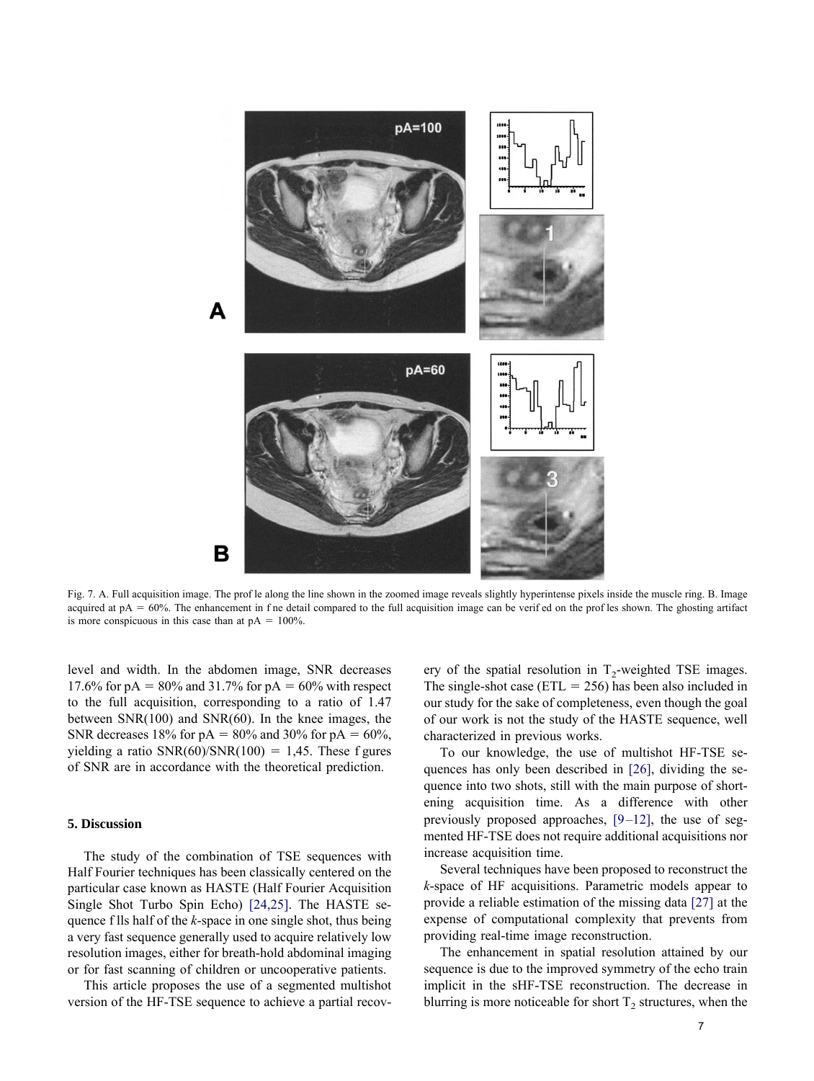

Fig. 7. A. Full acquisition image. The prof le along the line shown in the zoomed image reveals slightly hyperintense pixels inside the muscle ring. B. Image acquired at  $pA = 60\%$ . The enhancement in f ne detail compared to the full acquisition image can be verif ed on the prof les shown. The ghosting artifact is more conspicuous in this case than at  $pA = 100\%$ .

level and width. In the abdomen image, SNR decreases 17.6% for pA =  $80\%$  and 31.7% for pA =  $60\%$  with respect to the full acquisition, corresponding to a ratio of 1.47 between SNR(100) and SNR(60). In the knee images, the SNR decreases 18% for  $pA = 80\%$  and 30% for  $pA = 60\%$ , yielding a ratio  $SNR(60)/SNR(100) = 1,45$ . These f gures of SNR are in accordance with the theoretical prediction.

#### **5. Discussion**

The study of the combination of TSE sequences with Half Fourier techniques has been classically centered on the particular case known as HASTE (Half Fourier Acquisition Single Shot Turbo Spin Echo) [24,25]. The HASTE sequence f lls half of the *k*-space in one single shot, thus being a very fast sequence generally used to acquire relatively low resolution images, either for breath-hold abdominal imaging or for fast scanning of children or uncooperative patients.

This article proposes the use of a segmented multishot version of the HF-TSE sequence to achieve a partial recov-

ery of the spatial resolution in  $T<sub>2</sub>$ -weighted TSE images. The single-shot case ( $ETL = 256$ ) has been also included in our study for the sake of completeness, even though the goal of our work is not the study of the HASTE sequence, well characterized in previous works.

To our knowledge, the use of multishot HF-TSE sequences has only been described in [26], dividing the sequence into two shots, still with the main purpose of shortening acquisition time. As a difference with other previously proposed approaches,  $[9-12]$ , the use of segmented HF-TSE does not require additional acquisitions nor increase acquisition time.

Several techniques have been proposed to reconstruct the *k*-space of HF acquisitions. Parametric models appear to provide a reliable estimation of the missing data [27] at the expense of computational complexity that prevents from providing real-time image reconstruction.

The enhancement in spatial resolution attained by our sequence is due to the improved symmetry of the echo train implicit in the sHF-TSE reconstruction. The decrease in blurring is more noticeable for short  $T_2$  structures, when the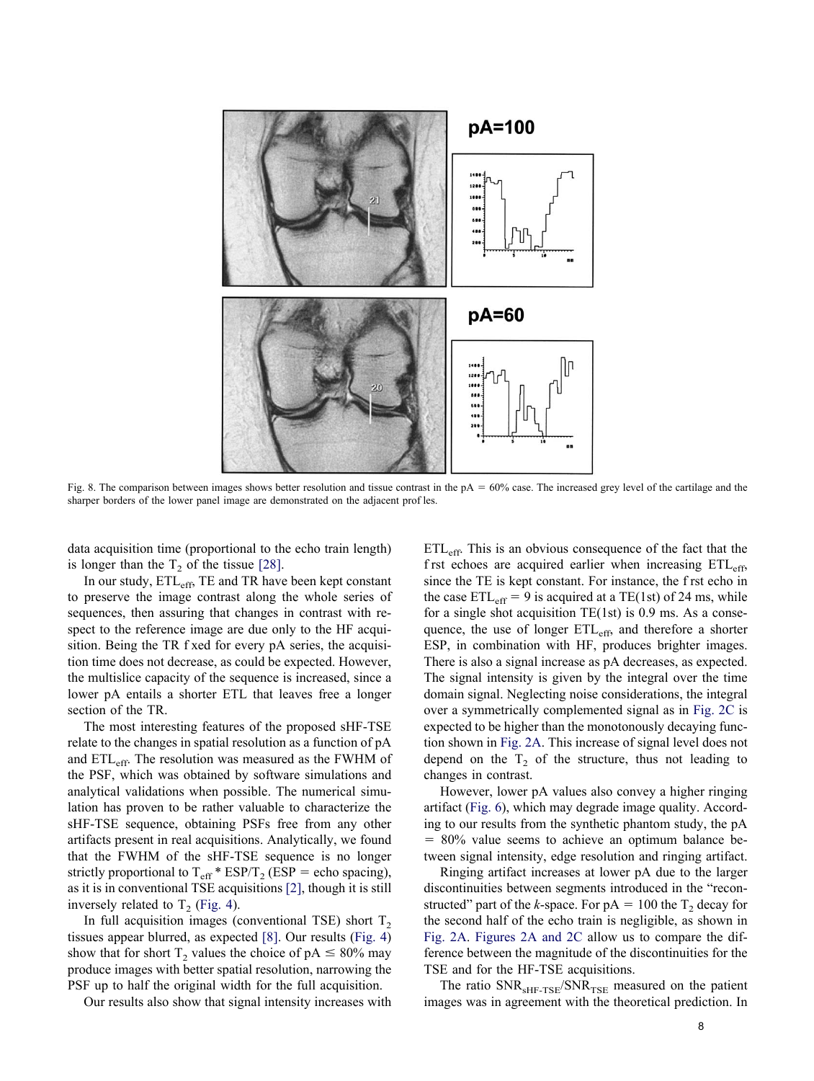

Fig. 8. The comparison between images shows better resolution and tissue contrast in the  $pA = 60\%$  case. The increased grey level of the cartilage and the sharper borders of the lower panel image are demonstrated on the adjacent prof les.

data acquisition time (proportional to the echo train length) is longer than the  $T_2$  of the tissue [28].

In our study,  $ETL_{eff}$ , TE and TR have been kept constant to preserve the image contrast along the whole series of sequences, then assuring that changes in contrast with respect to the reference image are due only to the HF acquisition. Being the TR f xed for every pA series, the acquisition time does not decrease, as could be expected. However, the multislice capacity of the sequence is increased, since a lower pA entails a shorter ETL that leaves free a longer section of the TR.

The most interesting features of the proposed sHF-TSE relate to the changes in spatial resolution as a function of pA and ETLeff. The resolution was measured as the FWHM of the PSF, which was obtained by software simulations and analytical validations when possible. The numerical simulation has proven to be rather valuable to characterize the sHF-TSE sequence, obtaining PSFs free from any other artifacts present in real acquisitions. Analytically, we found that the FWHM of the sHF-TSE sequence is no longer strictly proportional to  $T_{\text{eff}}$  \* ESP/T<sub>2</sub> (ESP = echo spacing), as it is in conventional TSE acquisitions [2], though it is still inversely related to  $T_2$  (Fig. 4).

In full acquisition images (conventional TSE) short  $T<sub>2</sub>$ tissues appear blurred, as expected [8]. Our results (Fig. 4) show that for short  $T_2$  values the choice of pA  $\leq 80\%$  may produce images with better spatial resolution, narrowing the PSF up to half the original width for the full acquisition.

Our results also show that signal intensity increases with

ETLeff. This is an obvious consequence of the fact that the f rst echoes are acquired earlier when increasing  $ETL<sub>eff</sub>$ , since the TE is kept constant. For instance, the f rst echo in the case  $ETL_{eff} = 9$  is acquired at a TE(1st) of 24 ms, while for a single shot acquisition TE(1st) is 0.9 ms. As a consequence, the use of longer  $ETL_{eff}$ , and therefore a shorter ESP, in combination with HF, produces brighter images. There is also a signal increase as pA decreases, as expected. The signal intensity is given by the integral over the time domain signal. Neglecting noise considerations, the integral over a symmetrically complemented signal as in Fig. 2C is expected to be higher than the monotonously decaying function shown in Fig. 2A. This increase of signal level does not depend on the  $T_2$  of the structure, thus not leading to changes in contrast.

However, lower pA values also convey a higher ringing artifact (Fig. 6), which may degrade image quality. According to our results from the synthetic phantom study, the pA  $= 80\%$  value seems to achieve an optimum balance between signal intensity, edge resolution and ringing artifact.

Ringing artifact increases at lower pA due to the larger discontinuities between segments introduced in the "reconstructed" part of the *k*-space. For  $pA = 100$  the T<sub>2</sub> decay for the second half of the echo train is negligible, as shown in Fig. 2A. Figures 2A and 2C allow us to compare the difference between the magnitude of the discontinuities for the TSE and for the HF-TSE acquisitions.

The ratio  $SNR<sub>SHF-TSE</sub>/SNR<sub>TSE</sub>$  measured on the patient images was in agreement with the theoretical prediction. In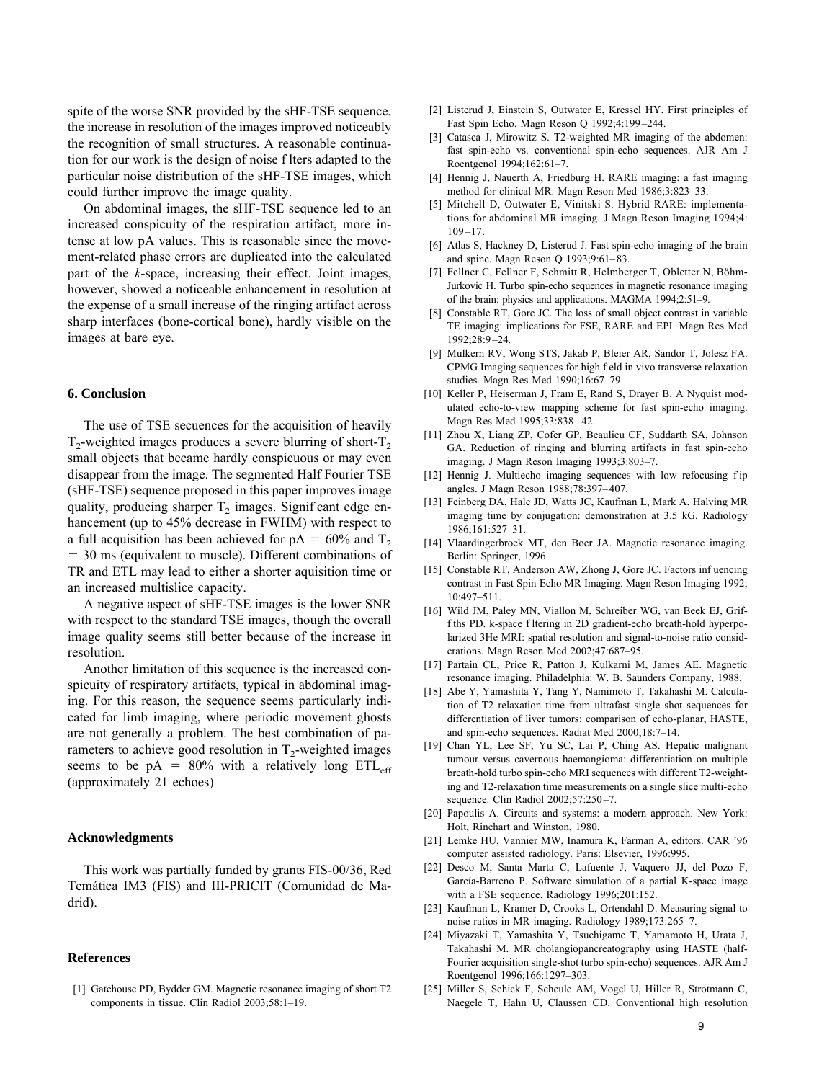spite of the worse SNR provided by the sHF-TSE sequence, the increase in resolution of the images improved noticeably the recognition of small structures. A reasonable continuation for our work is the design of noise f lters adapted to the particular noise distribution of the sHF-TSE images, which could further improve the image quality.

On abdominal images, the sHF-TSE sequence led to an increased conspicuity of the respiration artifact, more intense at low pA values. This is reasonable since the movement-related phase errors are duplicated into the calculated part of the *k*-space, increasing their effect. Joint images, however, showed a noticeable enhancement in resolution at the expense of a small increase of the ringing artifact across sharp interfaces (bone-cortical bone), hardly visible on the images at bare eye.

# **6. Conclusion**

The use of TSE secuences for the acquisition of heavily  $T<sub>2</sub>$ -weighted images produces a severe blurring of short- $T<sub>2</sub>$ small objects that became hardly conspicuous or may even disappear from the image. The segmented Half Fourier TSE (sHF-TSE) sequence proposed in this paper improves image quality, producing sharper  $T_2$  images. Signif cant edge enhancement (up to 45% decrease in FWHM) with respect to a full acquisition has been achieved for  $pA = 60\%$  and T<sub>2</sub> 30 ms (equivalent to muscle). Different combinations of TR and ETL may lead to either a shorter aquisition time or an increased multislice capacity.

A negative aspect of sHF-TSE images is the lower SNR with respect to the standard TSE images, though the overall image quality seems still better because of the increase in resolution.

Another limitation of this sequence is the increased conspicuity of respiratory artifacts, typical in abdominal imaging. For this reason, the sequence seems particularly indicated for limb imaging, where periodic movement ghosts are not generally a problem. The best combination of parameters to achieve good resolution in  $T_2$ -weighted images seems to be  $pA = 80\%$  with a relatively long  $ETL_{eff}$ (approximately 21 echoes)

# **Acknowledgments**

This work was partially funded by grants FIS-00/36, Red Temática IM3 (FIS) and III-PRICIT (Comunidad de Madrid).

#### **References**

[1] Gatehouse PD, Bydder GM. Magnetic resonance imaging of short T2 components in tissue. Clin Radiol 2003;58:1–19.

- [2] Listerud J, Einstein S, Outwater E, Kressel HY. First principles of Fast Spin Echo. Magn Reson Q 1992;4:199 –244.
- [3] Catasca J, Mirowitz S. T2-weighted MR imaging of the abdomen: fast spin-echo vs. conventional spin-echo sequences. AJR Am J Roentgenol 1994;162:61–7.
- [4] Hennig J, Nauerth A, Friedburg H. RARE imaging: a fast imaging method for clinical MR. Magn Reson Med 1986;3:823–33.
- [5] Mitchell D, Outwater E, Vinitski S. Hybrid RARE: implementations for abdominal MR imaging. J Magn Reson Imaging 1994;4:  $109 - 17$ .
- [6] Atlas S, Hackney D, Listerud J. Fast spin-echo imaging of the brain and spine. Magn Reson Q 1993;9:61– 83.
- [7] Fellner C, Fellner F, Schmitt R, Helmberger T, Obletter N, Böhm-Jurkovic H. Turbo spin-echo sequences in magnetic resonance imaging of the brain: physics and applications. MAGMA 1994;2:51–9.
- [8] Constable RT, Gore JC. The loss of small object contrast in variable TE imaging: implications for FSE, RARE and EPI. Magn Res Med 1992;28:9 –24.
- [9] Mulkern RV, Wong STS, Jakab P, Bleier AR, Sandor T, Jolesz FA. CPMG Imaging sequences for high f eld in vivo transverse relaxation studies. Magn Res Med 1990;16:67–79.
- [10] Keller P, Heiserman J, Fram E, Rand S, Drayer B. A Nyquist modulated echo-to-view mapping scheme for fast spin-echo imaging. Magn Res Med 1995;33:838 – 42.
- [11] Zhou X, Liang ZP, Cofer GP, Beaulieu CF, Suddarth SA, Johnson GA. Reduction of ringing and blurring artifacts in fast spin-echo imaging. J Magn Reson Imaging 1993;3:803–7.
- [12] Hennig J. Multiecho imaging sequences with low refocusing f ip angles. J Magn Reson 1988;78:397– 407.
- [13] Feinberg DA, Hale JD, Watts JC, Kaufman L, Mark A. Halving MR imaging time by conjugation: demonstration at 3.5 kG. Radiology 1986;161:527–31.
- [14] Vlaardingerbroek MT, den Boer JA. Magnetic resonance imaging. Berlin: Springer, 1996.
- [15] Constable RT, Anderson AW, Zhong J, Gore JC. Factors inf uencing contrast in Fast Spin Echo MR Imaging. Magn Reson Imaging 1992; 10:497–511.
- [16] Wild JM, Paley MN, Viallon M, Schreiber WG, van Beek EJ, Griff ths PD. k-space f ltering in 2D gradient-echo breath-hold hyperpolarized 3He MRI: spatial resolution and signal-to-noise ratio considerations. Magn Reson Med 2002;47:687–95.
- [17] Partain CL, Price R, Patton J, Kulkarni M, James AE. Magnetic resonance imaging. Philadelphia: W. B. Saunders Company, 1988.
- [18] Abe Y, Yamashita Y, Tang Y, Namimoto T, Takahashi M. Calculation of T2 relaxation time from ultrafast single shot sequences for differentiation of liver tumors: comparison of echo-planar, HASTE, and spin-echo sequences. Radiat Med 2000;18:7–14.
- [19] Chan YL, Lee SF, Yu SC, Lai P, Ching AS. Hepatic malignant tumour versus cavernous haemangioma: differentiation on multiple breath-hold turbo spin-echo MRI sequences with different T2-weighting and T2-relaxation time measurements on a single slice multi-echo sequence. Clin Radiol 2002;57:250-7.
- [20] Papoulis A. Circuits and systems: a modern approach. New York: Holt, Rinehart and Winston, 1980.
- [21] Lemke HU, Vannier MW, Inamura K, Farman A, editors. CAR '96 computer assisted radiology. Paris: Elsevier, 1996:995.
- [22] Desco M, Santa Marta C, Lafuente J, Vaquero JJ, del Pozo F, García-Barreno P. Software simulation of a partial K-space image with a FSE sequence. Radiology 1996;201:152.
- [23] Kaufman L, Kramer D, Crooks L, Ortendahl D. Measuring signal to noise ratios in MR imaging. Radiology 1989;173:265–7.
- [24] Miyazaki T, Yamashita Y, Tsuchigame T, Yamamoto H, Urata J, Takahashi M. MR cholangiopancreatography using HASTE (half-Fourier acquisition single-shot turbo spin-echo) sequences. AJR Am J Roentgenol 1996;166:1297–303.
- [25] Miller S, Schick F, Scheule AM, Vogel U, Hiller R, Strotmann C, Naegele T, Hahn U, Claussen CD. Conventional high resolution